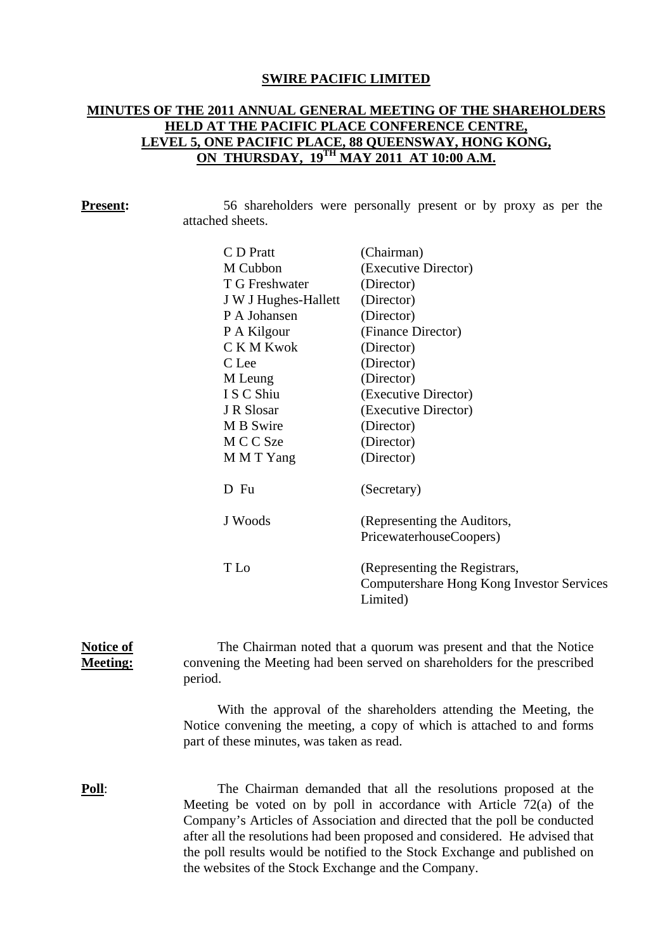### **SWIRE PACIFIC LIMITED**

# **MINUTES OF THE 2011 ANNUAL GENERAL MEETING OF THE SHAREHOLDERS HELD AT THE PACIFIC PLACE CONFERENCE CENTRE, LEVEL 5, ONE PACIFIC PLACE, 88 QUEENSWAY, HONG KONG, ON THURSDAY, 19TH MAY 2011 AT 10:00 A.M.**

| <b>Present:</b>                     |                                                                                                                                                         | 56 shareholders were personally present or by proxy as per the                                                                                                                                                                                                                                             |  |  |  |  |
|-------------------------------------|---------------------------------------------------------------------------------------------------------------------------------------------------------|------------------------------------------------------------------------------------------------------------------------------------------------------------------------------------------------------------------------------------------------------------------------------------------------------------|--|--|--|--|
|                                     | attached sheets.                                                                                                                                        |                                                                                                                                                                                                                                                                                                            |  |  |  |  |
|                                     | C D Pratt                                                                                                                                               | (Chairman)                                                                                                                                                                                                                                                                                                 |  |  |  |  |
|                                     | M Cubbon                                                                                                                                                | (Executive Director)                                                                                                                                                                                                                                                                                       |  |  |  |  |
|                                     | T G Freshwater                                                                                                                                          | (Director)                                                                                                                                                                                                                                                                                                 |  |  |  |  |
|                                     | J W J Hughes-Hallett                                                                                                                                    | (Director)                                                                                                                                                                                                                                                                                                 |  |  |  |  |
|                                     | P A Johansen                                                                                                                                            | (Director)                                                                                                                                                                                                                                                                                                 |  |  |  |  |
|                                     | P A Kilgour                                                                                                                                             | (Finance Director)                                                                                                                                                                                                                                                                                         |  |  |  |  |
|                                     | C K M Kwok                                                                                                                                              | (Director)                                                                                                                                                                                                                                                                                                 |  |  |  |  |
|                                     | C Lee                                                                                                                                                   | (Director)                                                                                                                                                                                                                                                                                                 |  |  |  |  |
|                                     | M Leung                                                                                                                                                 | (Director)                                                                                                                                                                                                                                                                                                 |  |  |  |  |
|                                     | I S C Shiu                                                                                                                                              | (Executive Director)                                                                                                                                                                                                                                                                                       |  |  |  |  |
|                                     | J R Slosar                                                                                                                                              | (Executive Director)                                                                                                                                                                                                                                                                                       |  |  |  |  |
|                                     | M B Swire                                                                                                                                               | (Director)                                                                                                                                                                                                                                                                                                 |  |  |  |  |
|                                     | M C C Sze                                                                                                                                               | (Director)                                                                                                                                                                                                                                                                                                 |  |  |  |  |
|                                     | M M T Yang                                                                                                                                              | (Director)                                                                                                                                                                                                                                                                                                 |  |  |  |  |
|                                     | D Fu                                                                                                                                                    | (Secretary)                                                                                                                                                                                                                                                                                                |  |  |  |  |
|                                     | J Woods                                                                                                                                                 | (Representing the Auditors,                                                                                                                                                                                                                                                                                |  |  |  |  |
|                                     |                                                                                                                                                         | PricewaterhouseCoopers)                                                                                                                                                                                                                                                                                    |  |  |  |  |
|                                     | T Lo                                                                                                                                                    | (Representing the Registrars,                                                                                                                                                                                                                                                                              |  |  |  |  |
|                                     |                                                                                                                                                         | Computershare Hong Kong Investor Services<br>Limited)                                                                                                                                                                                                                                                      |  |  |  |  |
| <b>Notice of</b><br><b>Meeting:</b> | The Chairman noted that a quorum was present and that the Notice<br>convening the Meeting had been served on shareholders for the prescribed<br>period. |                                                                                                                                                                                                                                                                                                            |  |  |  |  |
|                                     | $\mathbf{r}$ .                                                                                                                                          | With the approval of the shareholders attending the Meeting, the<br>$\mathcal{O}$ and $\mathcal{O}$ are the set of the set of the set of the set of the set of the set of the set of the set of the set of the set of the set of the set of the set of the set of the set of the set of the set of the set |  |  |  |  |

Notice convening the meeting, a copy of which is attached to and forms part of these minutes, was taken as read.

**Poll:** The Chairman demanded that all the resolutions proposed at the Meeting be voted on by poll in accordance with Article 72(a) of the Company's Articles of Association and directed that the poll be conducted after all the resolutions had been proposed and considered. He advised that the poll results would be notified to the Stock Exchange and published on the websites of the Stock Exchange and the Company.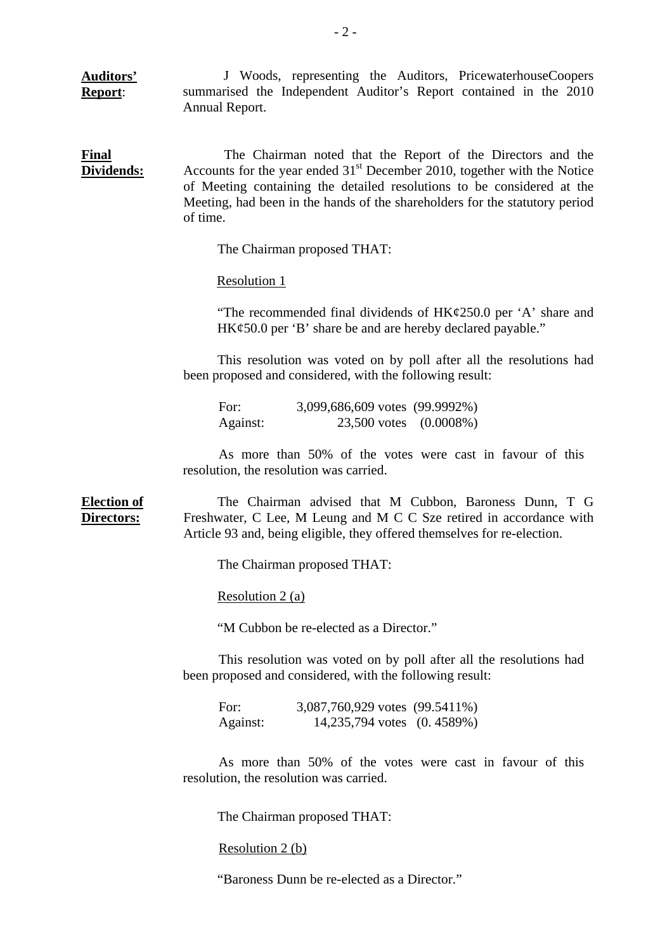**Auditors' Report**: J Woods, representing the Auditors, PricewaterhouseCoopers summarised the Independent Auditor's Report contained in the 2010 Annual Report.

**Final Dividends:** The Chairman noted that the Report of the Directors and the Accounts for the year ended  $31<sup>st</sup>$  December 2010, together with the Notice of Meeting containing the detailed resolutions to be considered at the Meeting, had been in the hands of the shareholders for the statutory period of time.

The Chairman proposed THAT:

Resolution 1

"The recommended final dividends of  $HK\varphi$ 250.0 per 'A' share and HK¢50.0 per 'B' share be and are hereby declared payable."

This resolution was voted on by poll after all the resolutions had been proposed and considered, with the following result:

 For: 3,099,686,609 votes (99.9992%) Against: 23,500 votes (0.0008%)

As more than 50% of the votes were cast in favour of this resolution, the resolution was carried.

**Election of Directors:** The Chairman advised that M Cubbon, Baroness Dunn, T G Freshwater, C Lee, M Leung and M C C Sze retired in accordance with Article 93 and, being eligible, they offered themselves for re-election.

The Chairman proposed THAT:

Resolution 2 (a)

"M Cubbon be re-elected as a Director."

This resolution was voted on by poll after all the resolutions had been proposed and considered, with the following result:

| For:     | 3,087,760,929 votes (99.5411%) |  |
|----------|--------------------------------|--|
| Against: | 14,235,794 votes (0.4589%)     |  |

As more than 50% of the votes were cast in favour of this resolution, the resolution was carried.

The Chairman proposed THAT:

Resolution 2 (b)

"Baroness Dunn be re-elected as a Director."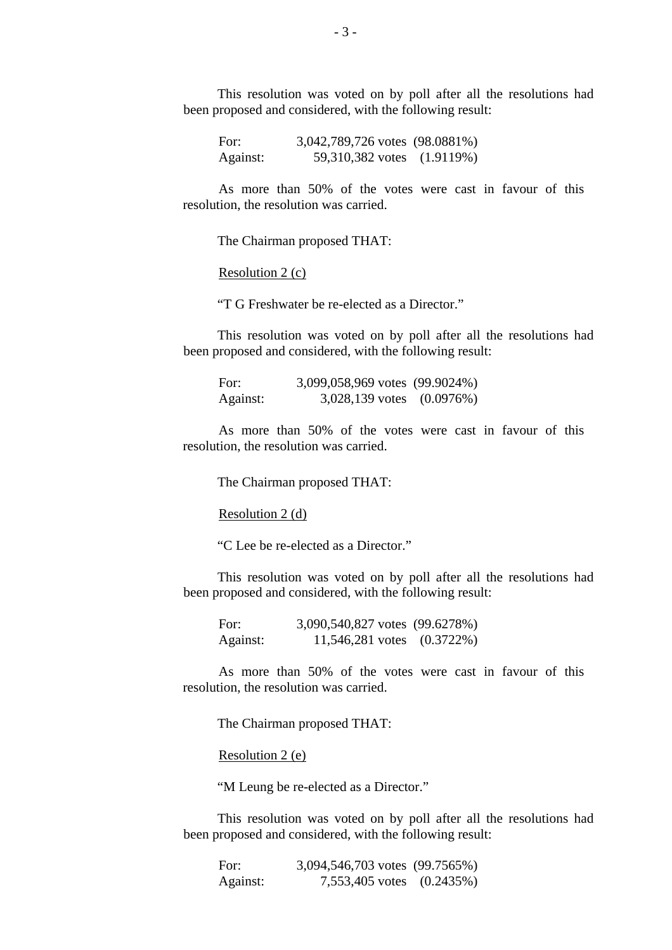This resolution was voted on by poll after all the resolutions had been proposed and considered, with the following result:

For: 3,042,789,726 votes (98.0881%) Against: 59,310,382 votes (1.9119%)

As more than 50% of the votes were cast in favour of this resolution, the resolution was carried.

The Chairman proposed THAT:

Resolution 2 (c)

"T G Freshwater be re-elected as a Director."

This resolution was voted on by poll after all the resolutions had been proposed and considered, with the following result:

For: 3,099,058,969 votes (99.9024%) Against: 3,028,139 votes (0.0976%)

As more than 50% of the votes were cast in favour of this resolution, the resolution was carried.

The Chairman proposed THAT:

Resolution 2 (d)

"C Lee be re-elected as a Director."

This resolution was voted on by poll after all the resolutions had been proposed and considered, with the following result:

For: 3,090,540,827 votes (99.6278%) Against: 11,546,281 votes (0.3722%)

As more than 50% of the votes were cast in favour of this resolution, the resolution was carried.

The Chairman proposed THAT:

Resolution 2 (e)

"M Leung be re-elected as a Director."

This resolution was voted on by poll after all the resolutions had been proposed and considered, with the following result:

For: 3,094,546,703 votes (99.7565%) Against: 7,553,405 votes (0.2435%)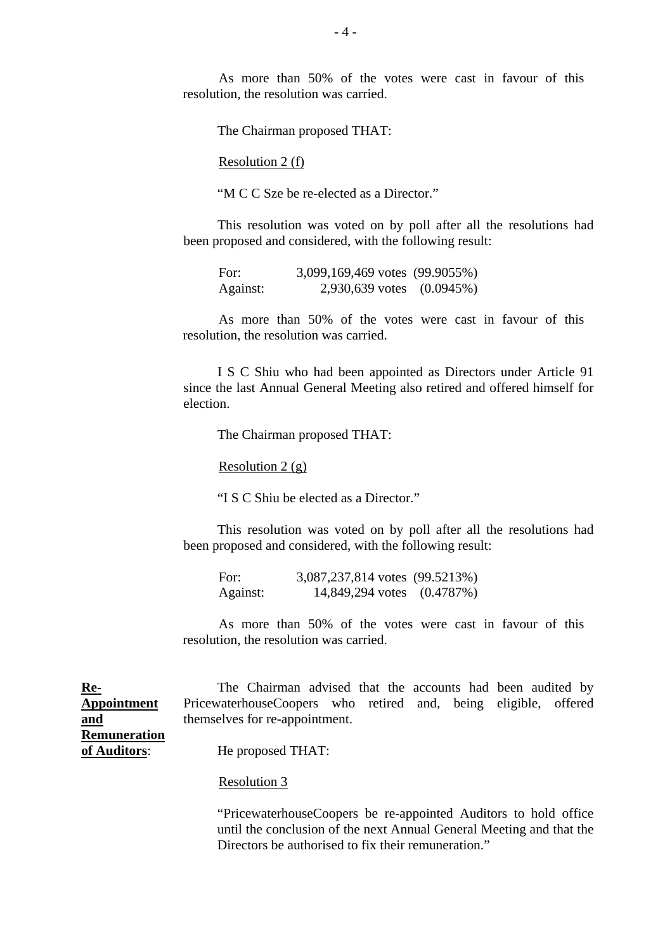As more than 50% of the votes were cast in favour of this resolution, the resolution was carried.

The Chairman proposed THAT:

Resolution 2 (f)

"M C C Sze be re-elected as a Director."

This resolution was voted on by poll after all the resolutions had been proposed and considered, with the following result:

| For:     | 3,099,169,469 votes (99.9055%) |  |
|----------|--------------------------------|--|
| Against: | 2,930,639 votes (0.0945%)      |  |

As more than 50% of the votes were cast in favour of this resolution, the resolution was carried.

 I S C Shiu who had been appointed as Directors under Article 91 since the last Annual General Meeting also retired and offered himself for election.

The Chairman proposed THAT:

Resolution  $2(g)$ 

"I S C Shiu be elected as a Director."

This resolution was voted on by poll after all the resolutions had been proposed and considered, with the following result:

| For:     | 3,087,237,814 votes (99.5213%) |  |
|----------|--------------------------------|--|
| Against: | 14,849,294 votes (0.4787%)     |  |

As more than 50% of the votes were cast in favour of this resolution, the resolution was carried.

| <u>Re-</u>   | The Chairman advised that the accounts had been audited by      |  |  |  |
|--------------|-----------------------------------------------------------------|--|--|--|
| Appointment  | PricewaterhouseCoopers who retired and, being eligible, offered |  |  |  |
| <u>and</u>   | themselves for re-appointment.                                  |  |  |  |
| Remuneration |                                                                 |  |  |  |
| of Auditors: | He proposed THAT:                                               |  |  |  |

Resolution 3

 "PricewaterhouseCoopers be re-appointed Auditors to hold office until the conclusion of the next Annual General Meeting and that the Directors be authorised to fix their remuneration."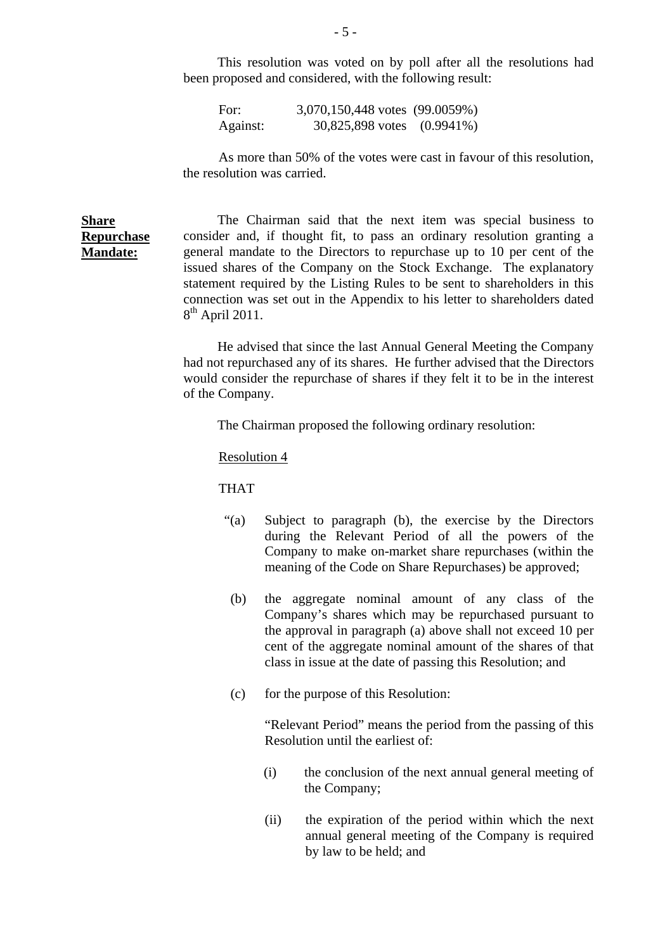This resolution was voted on by poll after all the resolutions had been proposed and considered, with the following result:

For: 3,070,150,448 votes (99.0059%) Against: 30,825,898 votes (0.9941%)

As more than 50% of the votes were cast in favour of this resolution, the resolution was carried.

## **Share Repurchase Mandate:**

The Chairman said that the next item was special business to consider and, if thought fit, to pass an ordinary resolution granting a general mandate to the Directors to repurchase up to 10 per cent of the issued shares of the Company on the Stock Exchange. The explanatory statement required by the Listing Rules to be sent to shareholders in this connection was set out in the Appendix to his letter to shareholders dated  $8<sup>th</sup>$  April 2011.

 He advised that since the last Annual General Meeting the Company had not repurchased any of its shares. He further advised that the Directors would consider the repurchase of shares if they felt it to be in the interest of the Company.

The Chairman proposed the following ordinary resolution:

#### Resolution 4

THAT

- "(a) Subject to paragraph (b), the exercise by the Directors during the Relevant Period of all the powers of the Company to make on-market share repurchases (within the meaning of the Code on Share Repurchases) be approved;
- (b) the aggregate nominal amount of any class of the Company's shares which may be repurchased pursuant to the approval in paragraph (a) above shall not exceed 10 per cent of the aggregate nominal amount of the shares of that class in issue at the date of passing this Resolution; and
- (c) for the purpose of this Resolution:

 "Relevant Period" means the period from the passing of this Resolution until the earliest of:

- (i) the conclusion of the next annual general meeting of the Company;
- (ii) the expiration of the period within which the next annual general meeting of the Company is required by law to be held; and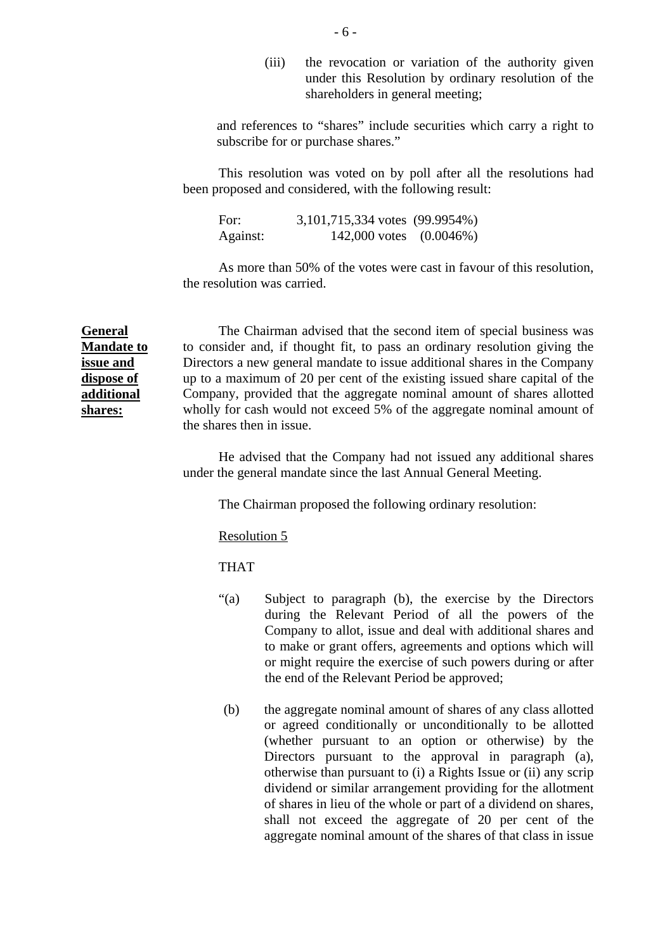(iii) the revocation or variation of the authority given under this Resolution by ordinary resolution of the shareholders in general meeting;

and references to "shares" include securities which carry a right to subscribe for or purchase shares."

This resolution was voted on by poll after all the resolutions had been proposed and considered, with the following result:

For: 3,101,715,334 votes (99.9954%) Against: 142,000 votes (0.0046%)

As more than 50% of the votes were cast in favour of this resolution, the resolution was carried.

**General Mandate to issue and dispose of additional shares:**

The Chairman advised that the second item of special business was to consider and, if thought fit, to pass an ordinary resolution giving the Directors a new general mandate to issue additional shares in the Company up to a maximum of 20 per cent of the existing issued share capital of the Company, provided that the aggregate nominal amount of shares allotted wholly for cash would not exceed 5% of the aggregate nominal amount of the shares then in issue.

 He advised that the Company had not issued any additional shares under the general mandate since the last Annual General Meeting.

The Chairman proposed the following ordinary resolution:

Resolution 5

THAT

- "(a) Subject to paragraph (b), the exercise by the Directors during the Relevant Period of all the powers of the Company to allot, issue and deal with additional shares and to make or grant offers, agreements and options which will or might require the exercise of such powers during or after the end of the Relevant Period be approved;
- (b) the aggregate nominal amount of shares of any class allotted or agreed conditionally or unconditionally to be allotted (whether pursuant to an option or otherwise) by the Directors pursuant to the approval in paragraph (a), otherwise than pursuant to (i) a Rights Issue or (ii) any scrip dividend or similar arrangement providing for the allotment of shares in lieu of the whole or part of a dividend on shares, shall not exceed the aggregate of 20 per cent of the aggregate nominal amount of the shares of that class in issue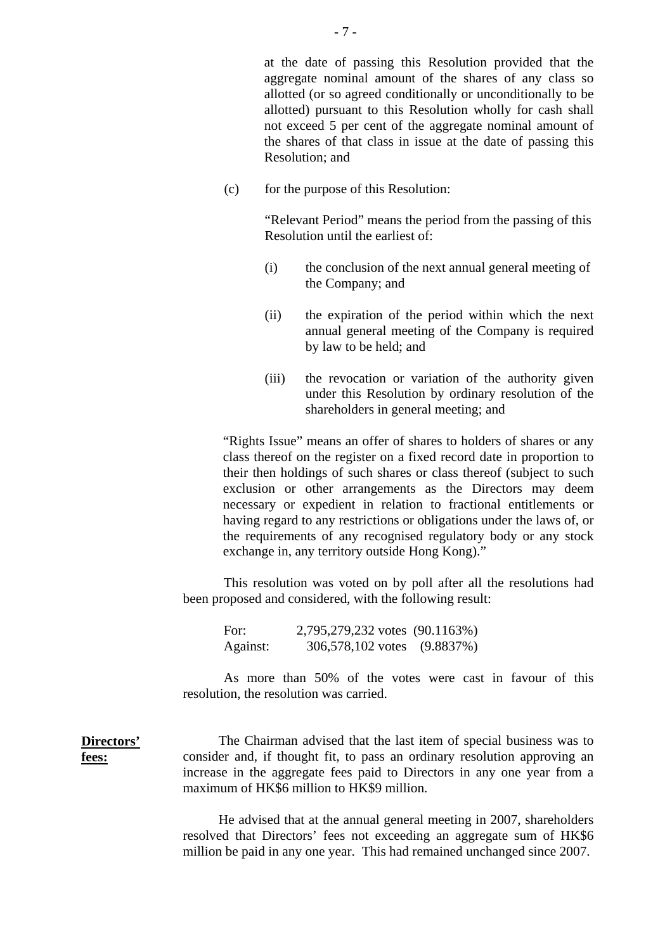at the date of passing this Resolution provided that the aggregate nominal amount of the shares of any class so allotted (or so agreed conditionally or unconditionally to be allotted) pursuant to this Resolution wholly for cash shall not exceed 5 per cent of the aggregate nominal amount of the shares of that class in issue at the date of passing this Resolution; and

(c) for the purpose of this Resolution:

"Relevant Period" means the period from the passing of this Resolution until the earliest of:

- (i) the conclusion of the next annual general meeting of the Company; and
- (ii) the expiration of the period within which the next annual general meeting of the Company is required by law to be held; and
- (iii) the revocation or variation of the authority given under this Resolution by ordinary resolution of the shareholders in general meeting; and

"Rights Issue" means an offer of shares to holders of shares or any class thereof on the register on a fixed record date in proportion to their then holdings of such shares or class thereof (subject to such exclusion or other arrangements as the Directors may deem necessary or expedient in relation to fractional entitlements or having regard to any restrictions or obligations under the laws of, or the requirements of any recognised regulatory body or any stock exchange in, any territory outside Hong Kong)."

This resolution was voted on by poll after all the resolutions had been proposed and considered, with the following result:

For: 2,795,279,232 votes (90.1163%) Against: 306,578,102 votes (9.8837%)

**Directors'** 

**fees:**

As more than 50% of the votes were cast in favour of this resolution, the resolution was carried.

The Chairman advised that the last item of special business was to consider and, if thought fit, to pass an ordinary resolution approving an increase in the aggregate fees paid to Directors in any one year from a maximum of HK\$6 million to HK\$9 million.

He advised that at the annual general meeting in 2007, shareholders resolved that Directors' fees not exceeding an aggregate sum of HK\$6 million be paid in any one year. This had remained unchanged since 2007.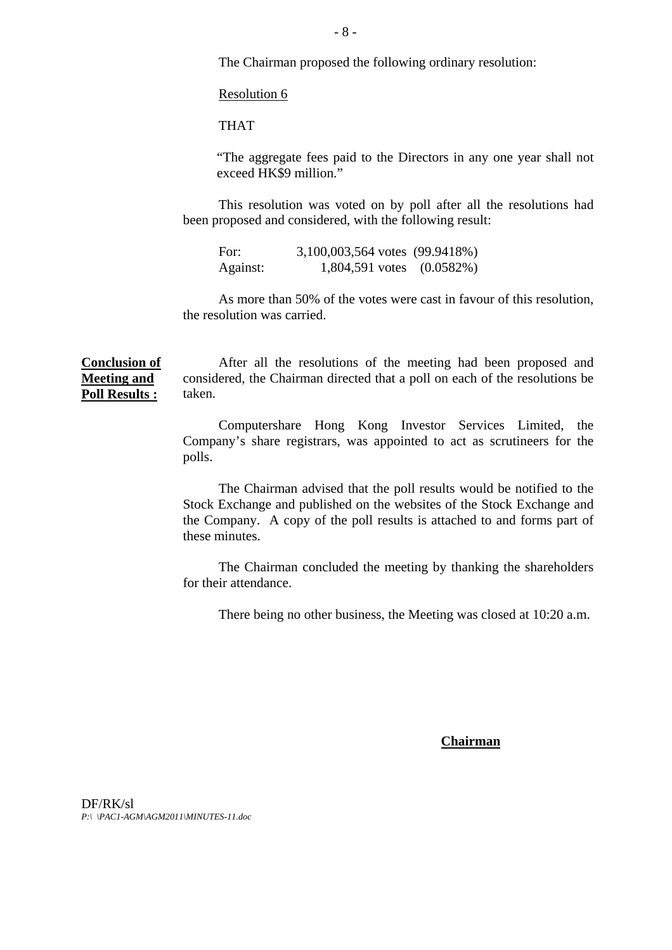The Chairman proposed the following ordinary resolution:

Resolution 6

THAT

"The aggregate fees paid to the Directors in any one year shall not exceed HK\$9 million."

This resolution was voted on by poll after all the resolutions had been proposed and considered, with the following result:

For: 3,100,003,564 votes (99.9418%) Against: 1,804,591 votes (0.0582%)

As more than 50% of the votes were cast in favour of this resolution, the resolution was carried.

**Conclusion of Meeting and Poll Results :** After all the resolutions of the meeting had been proposed and considered, the Chairman directed that a poll on each of the resolutions be taken.

> Computershare Hong Kong Investor Services Limited, the Company's share registrars, was appointed to act as scrutineers for the polls.

> The Chairman advised that the poll results would be notified to the Stock Exchange and published on the websites of the Stock Exchange and the Company. A copy of the poll results is attached to and forms part of these minutes.

> The Chairman concluded the meeting by thanking the shareholders for their attendance.

There being no other business, the Meeting was closed at 10:20 a.m.

**Chairman**

DF/RK/sl *P:\ \PAC1-AGM\AGM2011\MINUTES-11.doc*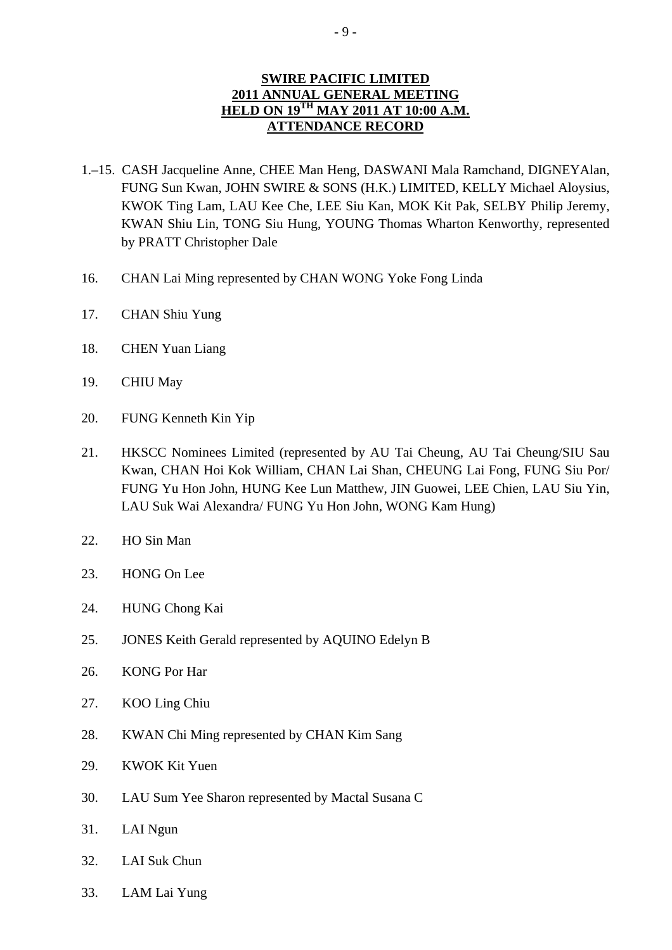## **SWIRE PACIFIC LIMITED 2011 ANNUAL GENERAL MEETING HELD ON 19<sup>TH</sup> MAY 2011 AT 10:00 A.M. ATTENDANCE RECORD**

- 1.–15. CASH Jacqueline Anne, CHEE Man Heng, DASWANI Mala Ramchand, DIGNEYAlan, FUNG Sun Kwan, JOHN SWIRE & SONS (H.K.) LIMITED, KELLY Michael Aloysius, KWOK Ting Lam, LAU Kee Che, LEE Siu Kan, MOK Kit Pak, SELBY Philip Jeremy, KWAN Shiu Lin, TONG Siu Hung, YOUNG Thomas Wharton Kenworthy, represented by PRATT Christopher Dale
- 16. CHAN Lai Ming represented by CHAN WONG Yoke Fong Linda
- 17. CHAN Shiu Yung
- 18. CHEN Yuan Liang
- 19. CHIU May
- 20. FUNG Kenneth Kin Yip
- 21. HKSCC Nominees Limited (represented by AU Tai Cheung, AU Tai Cheung/SIU Sau Kwan, CHAN Hoi Kok William, CHAN Lai Shan, CHEUNG Lai Fong, FUNG Siu Por/ FUNG Yu Hon John, HUNG Kee Lun Matthew, JIN Guowei, LEE Chien, LAU Siu Yin, LAU Suk Wai Alexandra/ FUNG Yu Hon John, WONG Kam Hung)
- 22. HO Sin Man
- 23. HONG On Lee
- 24. HUNG Chong Kai
- 25. JONES Keith Gerald represented by AQUINO Edelyn B
- 26. KONG Por Har
- 27. KOO Ling Chiu
- 28. KWAN Chi Ming represented by CHAN Kim Sang
- 29. KWOK Kit Yuen
- 30. LAU Sum Yee Sharon represented by Mactal Susana C
- 31. LAI Ngun
- 32. LAI Suk Chun
- 33. LAM Lai Yung